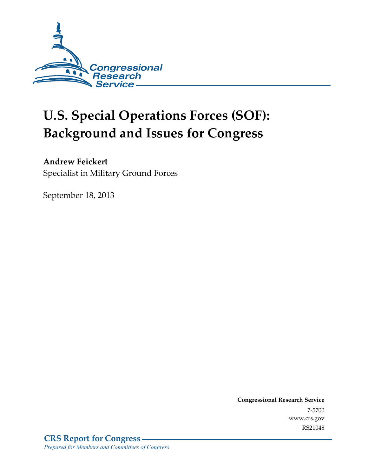

# **U.S. Special Operations Forces (SOF): Background and Issues for Congress**

## **Andrew Feickert**

Specialist in Military Ground Forces

September 18, 2013

**Congressional Research Service**  7-5700 www.crs.gov RS21048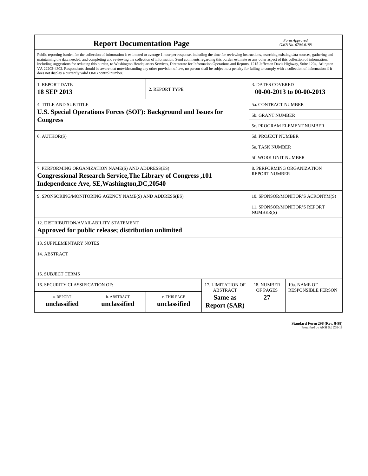| <b>Report Documentation Page</b>                                                                                                                                                                                                                                                                                                                                                                                                                                                                                                                                                                                                                                                                                                                                                                                                                                   |                             |                              |                                                   | Form Approved<br>OMB No. 0704-0188                 |                           |  |
|--------------------------------------------------------------------------------------------------------------------------------------------------------------------------------------------------------------------------------------------------------------------------------------------------------------------------------------------------------------------------------------------------------------------------------------------------------------------------------------------------------------------------------------------------------------------------------------------------------------------------------------------------------------------------------------------------------------------------------------------------------------------------------------------------------------------------------------------------------------------|-----------------------------|------------------------------|---------------------------------------------------|----------------------------------------------------|---------------------------|--|
| Public reporting burden for the collection of information is estimated to average 1 hour per response, including the time for reviewing instructions, searching existing data sources, gathering and<br>maintaining the data needed, and completing and reviewing the collection of information. Send comments regarding this burden estimate or any other aspect of this collection of information,<br>including suggestions for reducing this burden, to Washington Headquarters Services, Directorate for Information Operations and Reports, 1215 Jefferson Davis Highway, Suite 1204, Arlington<br>VA 22202-4302. Respondents should be aware that notwithstanding any other provision of law, no person shall be subject to a penalty for failing to comply with a collection of information if it<br>does not display a currently valid OMB control number. |                             |                              |                                                   |                                                    |                           |  |
| 1. REPORT DATE<br><b>18 SEP 2013</b>                                                                                                                                                                                                                                                                                                                                                                                                                                                                                                                                                                                                                                                                                                                                                                                                                               |                             | 2. REPORT TYPE               |                                                   | <b>3. DATES COVERED</b>                            | 00-00-2013 to 00-00-2013  |  |
| <b>4. TITLE AND SUBTITLE</b>                                                                                                                                                                                                                                                                                                                                                                                                                                                                                                                                                                                                                                                                                                                                                                                                                                       |                             |                              |                                                   | 5a. CONTRACT NUMBER                                |                           |  |
| U.S. Special Operations Forces (SOF): Background and Issues for<br><b>Congress</b>                                                                                                                                                                                                                                                                                                                                                                                                                                                                                                                                                                                                                                                                                                                                                                                 |                             |                              |                                                   | <b>5b. GRANT NUMBER</b>                            |                           |  |
|                                                                                                                                                                                                                                                                                                                                                                                                                                                                                                                                                                                                                                                                                                                                                                                                                                                                    |                             |                              |                                                   | 5c. PROGRAM ELEMENT NUMBER                         |                           |  |
| 6. AUTHOR(S)                                                                                                                                                                                                                                                                                                                                                                                                                                                                                                                                                                                                                                                                                                                                                                                                                                                       |                             |                              |                                                   | 5d. PROJECT NUMBER                                 |                           |  |
|                                                                                                                                                                                                                                                                                                                                                                                                                                                                                                                                                                                                                                                                                                                                                                                                                                                                    |                             |                              |                                                   | 5e. TASK NUMBER                                    |                           |  |
|                                                                                                                                                                                                                                                                                                                                                                                                                                                                                                                                                                                                                                                                                                                                                                                                                                                                    |                             |                              |                                                   |                                                    | 5f. WORK UNIT NUMBER      |  |
| 7. PERFORMING ORGANIZATION NAME(S) AND ADDRESS(ES)<br><b>Congressional Research Service, The Library of Congress, 101</b><br>Independence Ave, SE, Washington, DC, 20540                                                                                                                                                                                                                                                                                                                                                                                                                                                                                                                                                                                                                                                                                           |                             |                              |                                                   | 8. PERFORMING ORGANIZATION<br><b>REPORT NUMBER</b> |                           |  |
| 9. SPONSORING/MONITORING AGENCY NAME(S) AND ADDRESS(ES)                                                                                                                                                                                                                                                                                                                                                                                                                                                                                                                                                                                                                                                                                                                                                                                                            |                             |                              |                                                   | 10. SPONSOR/MONITOR'S ACRONYM(S)                   |                           |  |
|                                                                                                                                                                                                                                                                                                                                                                                                                                                                                                                                                                                                                                                                                                                                                                                                                                                                    |                             |                              |                                                   | <b>11. SPONSOR/MONITOR'S REPORT</b><br>NUMBER(S)   |                           |  |
| <b>12. DISTRIBUTION/AVAILABILITY STATEMENT</b><br>Approved for public release; distribution unlimited                                                                                                                                                                                                                                                                                                                                                                                                                                                                                                                                                                                                                                                                                                                                                              |                             |                              |                                                   |                                                    |                           |  |
| <b>13. SUPPLEMENTARY NOTES</b>                                                                                                                                                                                                                                                                                                                                                                                                                                                                                                                                                                                                                                                                                                                                                                                                                                     |                             |                              |                                                   |                                                    |                           |  |
| 14. ABSTRACT                                                                                                                                                                                                                                                                                                                                                                                                                                                                                                                                                                                                                                                                                                                                                                                                                                                       |                             |                              |                                                   |                                                    |                           |  |
| <b>15. SUBJECT TERMS</b>                                                                                                                                                                                                                                                                                                                                                                                                                                                                                                                                                                                                                                                                                                                                                                                                                                           |                             |                              |                                                   |                                                    |                           |  |
| 16. SECURITY CLASSIFICATION OF:                                                                                                                                                                                                                                                                                                                                                                                                                                                                                                                                                                                                                                                                                                                                                                                                                                    |                             |                              | 17. LIMITATION OF                                 | 18. NUMBER                                         | 19a. NAME OF              |  |
| a. REPORT<br>unclassified                                                                                                                                                                                                                                                                                                                                                                                                                                                                                                                                                                                                                                                                                                                                                                                                                                          | b. ABSTRACT<br>unclassified | c. THIS PAGE<br>unclassified | <b>ABSTRACT</b><br>Same as<br><b>Report (SAR)</b> | OF PAGES<br>27                                     | <b>RESPONSIBLE PERSON</b> |  |

**Standard Form 298 (Rev. 8-98)**<br>Prescribed by ANSI Std Z39-18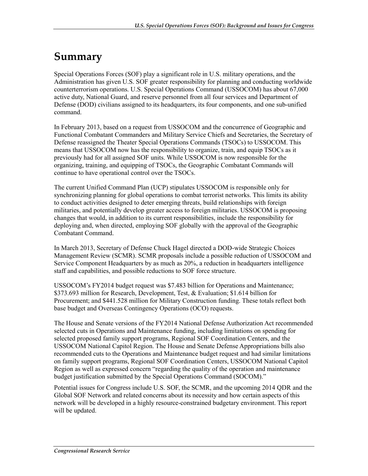# **Summary**

Special Operations Forces (SOF) play a significant role in U.S. military operations, and the Administration has given U.S. SOF greater responsibility for planning and conducting worldwide counterterrorism operations. U.S. Special Operations Command (USSOCOM) has about 67,000 active duty, National Guard, and reserve personnel from all four services and Department of Defense (DOD) civilians assigned to its headquarters, its four components, and one sub-unified command.

In February 2013, based on a request from USSOCOM and the concurrence of Geographic and Functional Combatant Commanders and Military Service Chiefs and Secretaries, the Secretary of Defense reassigned the Theater Special Operations Commands (TSOCs) to USSOCOM. This means that USSOCOM now has the responsibility to organize, train, and equip TSOCs as it previously had for all assigned SOF units. While USSOCOM is now responsible for the organizing, training, and equipping of TSOCs, the Geographic Combatant Commands will continue to have operational control over the TSOCs.

The current Unified Command Plan (UCP) stipulates USSOCOM is responsible only for synchronizing planning for global operations to combat terrorist networks. This limits its ability to conduct activities designed to deter emerging threats, build relationships with foreign militaries, and potentially develop greater access to foreign militaries. USSOCOM is proposing changes that would, in addition to its current responsibilities, include the responsibility for deploying and, when directed, employing SOF globally with the approval of the Geographic Combatant Command.

In March 2013, Secretary of Defense Chuck Hagel directed a DOD-wide Strategic Choices Management Review (SCMR). SCMR proposals include a possible reduction of USSOCOM and Service Component Headquarters by as much as 20%, a reduction in headquarters intelligence staff and capabilities, and possible reductions to SOF force structure.

USSOCOM's FY2014 budget request was \$7.483 billion for Operations and Maintenance; \$373.693 million for Research, Development, Test, & Evaluation; \$1.614 billion for Procurement; and \$441.528 million for Military Construction funding. These totals reflect both base budget and Overseas Contingency Operations (OCO) requests.

The House and Senate versions of the FY2014 National Defense Authorization Act recommended selected cuts in Operations and Maintenance funding, including limitations on spending for selected proposed family support programs, Regional SOF Coordination Centers, and the USSOCOM National Capitol Region. The House and Senate Defense Appropriations bills also recommended cuts to the Operations and Maintenance budget request and had similar limitations on family support programs, Regional SOF Coordination Centers, USSOCOM National Capitol Region as well as expressed concern "regarding the quality of the operation and maintenance budget justification submitted by the Special Operations Command (SOCOM)."

Potential issues for Congress include U.S. SOF, the SCMR, and the upcoming 2014 QDR and the Global SOF Network and related concerns about its necessity and how certain aspects of this network will be developed in a highly resource-constrained budgetary environment. This report will be updated.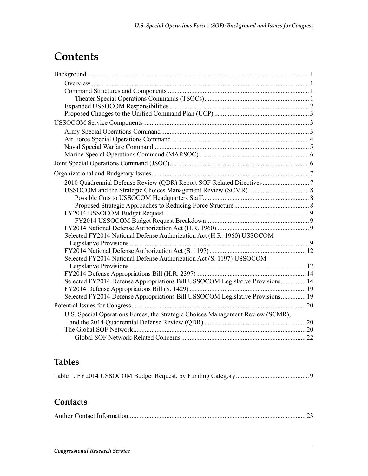# **Contents**

| Selected FY2014 National Defense Authorization Act (H.R. 1960) USSOCOM          |  |
|---------------------------------------------------------------------------------|--|
|                                                                                 |  |
|                                                                                 |  |
| Selected FY2014 National Defense Authorization Act (S. 1197) USSOCOM            |  |
|                                                                                 |  |
|                                                                                 |  |
| Selected FY2014 Defense Appropriations Bill USSOCOM Legislative Provisions 14   |  |
|                                                                                 |  |
| Selected FY2014 Defense Appropriations Bill USSOCOM Legislative Provisions 19   |  |
|                                                                                 |  |
| U.S. Special Operations Forces, the Strategic Choices Management Review (SCMR), |  |
|                                                                                 |  |
|                                                                                 |  |
|                                                                                 |  |

# **Tables**

|--|--|--|--|--|

# **Contacts**

|--|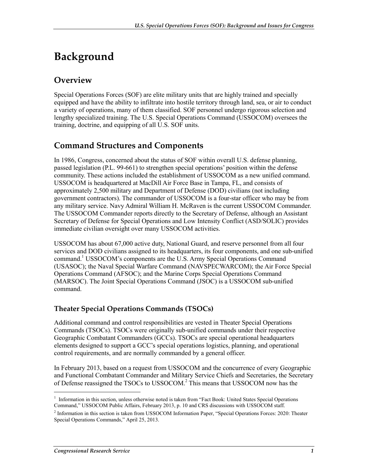# **Background**

## **Overview**

Special Operations Forces (SOF) are elite military units that are highly trained and specially equipped and have the ability to infiltrate into hostile territory through land, sea, or air to conduct a variety of operations, many of them classified. SOF personnel undergo rigorous selection and lengthy specialized training. The U.S. Special Operations Command (USSOCOM) oversees the training, doctrine, and equipping of all U.S. SOF units.

### **Command Structures and Components**

In 1986, Congress, concerned about the status of SOF within overall U.S. defense planning, passed legislation (P.L. 99-661) to strengthen special operations' position within the defense community. These actions included the establishment of USSOCOM as a new unified command. USSOCOM is headquartered at MacDill Air Force Base in Tampa, FL, and consists of approximately 2,500 military and Department of Defense (DOD) civilians (not including government contractors). The commander of USSOCOM is a four-star officer who may be from any military service. Navy Admiral William H. McRaven is the current USSOCOM Commander. The USSOCOM Commander reports directly to the Secretary of Defense, although an Assistant Secretary of Defense for Special Operations and Low Intensity Conflict (ASD/SOLIC) provides immediate civilian oversight over many USSOCOM activities.

USSOCOM has about 67,000 active duty, National Guard, and reserve personnel from all four services and DOD civilians assigned to its headquarters, its four components, and one sub-unified command.<sup>1</sup> USSOCOM's components are the U.S. Army Special Operations Command (USASOC); the Naval Special Warfare Command (NAVSPECWARCOM); the Air Force Special Operations Command (AFSOC); and the Marine Corps Special Operations Command (MARSOC). The Joint Special Operations Command (JSOC) is a USSOCOM sub-unified command.

### **Theater Special Operations Commands (TSOCs)**

Additional command and control responsibilities are vested in Theater Special Operations Commands (TSOCs). TSOCs were originally sub-unified commands under their respective Geographic Combatant Commanders (GCCs). TSOCs are special operational headquarters elements designed to support a GCC's special operations logistics, planning, and operational control requirements, and are normally commanded by a general officer.

In February 2013, based on a request from USSOCOM and the concurrence of every Geographic and Functional Combatant Commander and Military Service Chiefs and Secretaries, the Secretary of Defense reassigned the TSOCs to USSOCOM.<sup>2</sup> This means that USSOCOM now has the

<sup>&</sup>lt;sup>1</sup> Information in this section, unless otherwise noted is taken from "Fact Book: United States Special Operations Command," USSOCOM Public Affairs, February 2013, p. 10 and CRS discussions with USSOCOM staff.

<sup>&</sup>lt;sup>2</sup> Information in this section is taken from USSOCOM Information Paper, "Special Operations Forces: 2020: Theater Special Operations Commands," April 25, 2013.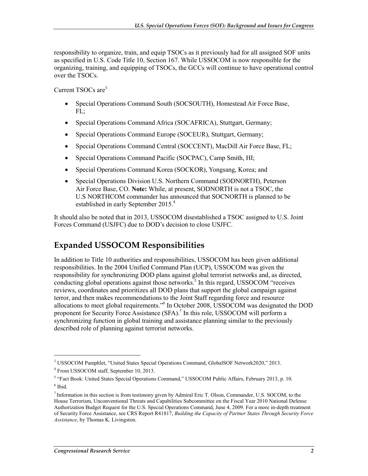responsibility to organize, train, and equip TSOCs as it previously had for all assigned SOF units as specified in U.S. Code Title 10, Section 167. While USSOCOM is now responsible for the organizing, training, and equipping of TSOCs, the GCCs will continue to have operational control over the TSOCs.

Current TSOCs are $3$ 

- Special Operations Command South (SOCSOUTH), Homestead Air Force Base, FL;
- Special Operations Command Africa (SOCAFRICA), Stuttgart, Germany;
- Special Operations Command Europe (SOCEUR), Stuttgart, Germany;
- Special Operations Command Central (SOCCENT), MacDill Air Force Base, FL;
- Special Operations Command Pacific (SOCPAC), Camp Smith, HI;
- Special Operations Command Korea (SOCKOR), Yongsang, Korea; and
- Special Operations Division U.S. Northern Command (SODNORTH), Peterson Air Force Base, CO. **Note:** While, at present, SODNORTH is not a TSOC, the U.S NORTHCOM commander has announced that SOCNORTH is planned to be established in early September 2015.<sup>4</sup>

It should also be noted that in 2013, USSOCOM disestablished a TSOC assigned to U.S. Joint Forces Command (USJFC) due to DOD's decision to close USJFC.

## **Expanded USSOCOM Responsibilities**

In addition to Title 10 authorities and responsibilities, USSOCOM has been given additional responsibilities. In the 2004 Unified Command Plan (UCP), USSOCOM was given the responsibility for synchronizing DOD plans against global terrorist networks and, as directed, conducting global operations against those networks.<sup>5</sup> In this regard, USSOCOM "receives reviews, coordinates and prioritizes all DOD plans that support the global campaign against terror, and then makes recommendations to the Joint Staff regarding force and resource allocations to meet global requirements."6 In October 2008, USSOCOM was designated the DOD proponent for Security Force Assistance (SFA).<sup>7</sup> In this role, USSOCOM will perform a synchronizing function in global training and assistance planning similar to the previously described role of planning against terrorist networks.

<sup>3</sup> USSOCOM Pamphlet, "United States Special Operations Command, GlobalSOF Network2020," 2013.

<sup>4</sup> From USSOCOM staff, September 10, 2013.

<sup>&</sup>lt;sup>5</sup> "Fact Book: United States Special Operations Command," USSOCOM Public Affairs, February 2013, p. 10. 6 Ibid.

<sup>7</sup> Information in this section is from testimony given by Admiral Eric T. Olson, Commander, U.S. SOCOM, to the House Terrorism, Unconventional Threats and Capabilities Subcommittee on the Fiscal Year 2010 National Defense Authorization Budget Request for the U.S. Special Operations Command, June 4, 2009. For a more in-depth treatment of Security Force Assistance, see CRS Report R41817, *Building the Capacity of Partner States Through Security Force Assistance*, by Thomas K. Livingston.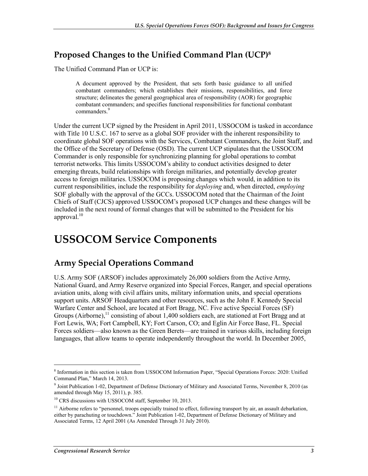## **Proposed Changes to the Unified Command Plan (UCP)8**

The Unified Command Plan or UCP is:

A document approved by the President, that sets forth basic guidance to all unified combatant commanders; which establishes their missions, responsibilities, and force structure; delineates the general geographical area of responsibility (AOR) for geographic combatant commanders; and specifies functional responsibilities for functional combatant commanders.<sup>9</sup>

Under the current UCP signed by the President in April 2011, USSOCOM is tasked in accordance with Title 10 U.S.C. 167 to serve as a global SOF provider with the inherent responsibility to coordinate global SOF operations with the Services, Combatant Commanders, the Joint Staff, and the Office of the Secretary of Defense (OSD). The current UCP stipulates that the USSOCOM Commander is only responsible for synchronizing planning for global operations to combat terrorist networks. This limits USSOCOM's ability to conduct activities designed to deter emerging threats, build relationships with foreign militaries, and potentially develop greater access to foreign militaries. USSOCOM is proposing changes which would, in addition to its current responsibilities, include the responsibility for *deploying* and, when directed, *employing* SOF globally with the approval of the GCCs. USSOCOM noted that the Chairman of the Joint Chiefs of Staff (CJCS) approved USSOCOM's proposed UCP changes and these changes will be included in the next round of formal changes that will be submitted to the President for his approval. $10$ 

# **USSOCOM Service Components**

### **Army Special Operations Command**

U.S. Army SOF (ARSOF) includes approximately 26,000 soldiers from the Active Army, National Guard, and Army Reserve organized into Special Forces, Ranger, and special operations aviation units, along with civil affairs units, military information units, and special operations support units. ARSOF Headquarters and other resources, such as the John F. Kennedy Special Warfare Center and School, are located at Fort Bragg, NC. Five active Special Forces (SF) Groups (Airborne),<sup>11</sup> consisting of about 1,400 soldiers each, are stationed at Fort Bragg and at Fort Lewis, WA; Fort Campbell, KY; Fort Carson, CO; and Eglin Air Force Base, FL. Special Forces soldiers—also known as the Green Berets—are trained in various skills, including foreign languages, that allow teams to operate independently throughout the world. In December 2005,

<sup>8</sup> Information in this section is taken from USSOCOM Information Paper, "Special Operations Forces: 2020: Unified Command Plan," March 14, 2013.

<sup>9</sup> Joint Publication 1-02, Department of Defense Dictionary of Military and Associated Terms, November 8, 2010 (as amended through May 15, 2011), p. 385.

<sup>&</sup>lt;sup>10</sup> CRS discussions with USSOCOM staff, September 10, 2013.

<sup>&</sup>lt;sup>11</sup> Airborne refers to "personnel, troops especially trained to effect, following transport by air, an assault debarkation, either by parachuting or touchdown." Joint Publication 1-02, Department of Defense Dictionary of Military and Associated Terms, 12 April 2001 (As Amended Through 31 July 2010).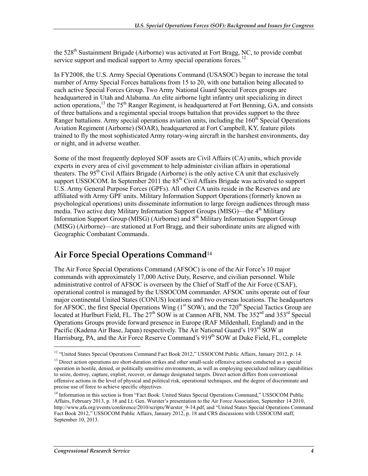the  $528<sup>th</sup>$  Sustainment Brigade (Airborne) was activated at Fort Bragg, NC, to provide combat service support and medical support to Army special operations forces.<sup>12</sup>

In FY2008, the U.S. Army Special Operations Command (USASOC) began to increase the total number of Army Special Forces battalions from 15 to 20, with one battalion being allocated to each active Special Forces Group. Two Army National Guard Special Forces groups are headquartered in Utah and Alabama. An elite airborne light infantry unit specializing in direct action operations,  $13$  the 75<sup>th</sup> Ranger Regiment, is headquartered at Fort Benning, GA, and consists of three battalions and a regimental special troops battalion that provides support to the three Ranger battalions. Army special operations aviation units, including the  $160<sup>th</sup>$  Special Operations Aviation Regiment (Airborne) (SOAR), headquartered at Fort Campbell, KY, feature pilots trained to fly the most sophisticated Army rotary-wing aircraft in the harshest environments, day or night, and in adverse weather.

Some of the most frequently deployed SOF assets are Civil Affairs (CA) units, which provide experts in every area of civil government to help administer civilian affairs in operational theaters. The  $95<sup>th</sup>$  Civil Affairs Brigade (Airborne) is the only active CA unit that exclusively support USSOCOM. In September 2011 the  $85<sup>th</sup>$  Civil Affairs Brigade was activated to support U.S. Army General Purpose Forces (GPFs). All other CA units reside in the Reserves and are affiliated with Army GPF units. Military Information Support Operations (formerly known as psychological operations) units disseminate information to large foreign audiences through mass media. Two active duty Military Information Support Groups (MISG)—the 4<sup>th</sup> Military Information Support Group (MISG) (Airborne) and 8<sup>th</sup> Military Information Support Group (MISG) (Airborne)—are stationed at Fort Bragg, and their subordinate units are aligned with Geographic Combatant Commands.

## **Air Force Special Operations Command**<sup>14</sup>

The Air Force Special Operations Command (AFSOC) is one of the Air Force's 10 major commands with approximately 17,000 Active Duty, Reserve, and civilian personnel. While administrative control of AFSOC is overseen by the Chief of Staff of the Air Force (CSAF), operational control is managed by the USSOCOM commander. AFSOC units operate out of four major continental United States (CONUS) locations and two overseas locations. The headquarters for AFSOC, the first Special Operations Wing (1<sup>st</sup> SOW), and the 720<sup>th</sup> Special Tactics Group are located at Hurlburt Field, FL. The 27<sup>th</sup> SOW is at Cannon AFB, NM. The 352<sup>nd</sup> and 353<sup>rd</sup> Special Operations Groups provide forward presence in Europe (RAF Mildenhall, England) and in the Pacific (Kadena Air Base, Japan) respectively. The Air National Guard's  $193<sup>rd</sup>$  SOW at Harrisburg, PA, and the Air Force Reserve Command's 919<sup>th</sup> SOW at Duke Field, FL, complete

<sup>&</sup>lt;sup>12</sup> "United States Special Operations Command Fact Book 2012," USSOCOM Public Affairs, January 2012, p. 14.

<sup>&</sup>lt;sup>13</sup> Direct action operations are short-duration strikes and other small-scale offensive actions conducted as a special operation in hostile, denied, or politically sensitive environments, as well as employing specialized military capabilities to seize, destroy, capture, exploit, recover, or damage designated targets. Direct action differs from conventional offensive actions in the level of physical and political risk, operational techniques, and the degree of discriminate and precise use of force to achieve specific objectives.

<sup>&</sup>lt;sup>14</sup> Information in this section is from "Fact Book: United States Special Operations Command," USSOCOM Public Affairs, February 2013, p. 18 and Lt. Gen. Wurster's presentation to the Air Force Association, September 14 2010, http://www.afa.org/events/conference/2010/scripts/Wurster\_9-14.pdf, and "United States Special Operations Command Fact Book 2012," USSOCOM Public Affairs, January 2012, p. 18 and CRS discussions with USSOCOM staff, September 10, 2013.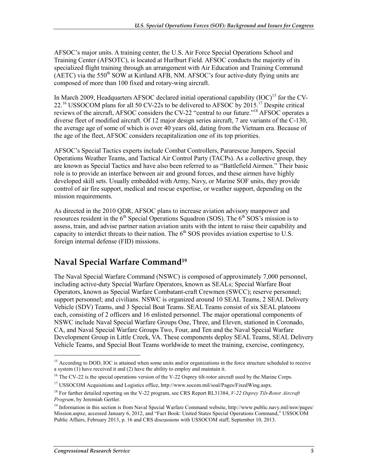AFSOC's major units. A training center, the U.S. Air Force Special Operations School and Training Center (AFSOTC), is located at Hurlburt Field. AFSOC conducts the majority of its specialized flight training through an arrangement with Air Education and Training Command (AETC) via the 550<sup>th</sup> SOW at Kirtland AFB, NM. AFSOC's four active-duty flying units are composed of more than 100 fixed and rotary-wing aircraft.

In March 2009, Headquarters AFSOC declared initial operational capability  $(IOC)^{15}$  for the CV- $22.^{16}$  USSOCOM plans for all 50 CV-22s to be delivered to AFSOC by 2015.<sup>17</sup> Despite critical reviews of the aircraft, AFSOC considers the CV-22 "central to our future."<sup>18</sup> AFSOC operates a diverse fleet of modified aircraft. Of 12 major design series aircraft, 7 are variants of the C-130, the average age of some of which is over 40 years old, dating from the Vietnam era. Because of the age of the fleet, AFSOC considers recapitalization one of its top priorities.

AFSOC's Special Tactics experts include Combat Controllers, Pararescue Jumpers, Special Operations Weather Teams, and Tactical Air Control Party (TACPs). As a collective group, they are known as Special Tactics and have also been referred to as "Battlefield Airmen." Their basic role is to provide an interface between air and ground forces, and these airmen have highly developed skill sets. Usually embedded with Army, Navy, or Marine SOF units, they provide control of air fire support, medical and rescue expertise, or weather support, depending on the mission requirements.

As directed in the 2010 QDR, AFSOC plans to increase aviation advisory manpower and resources resident in the  $6<sup>th</sup>$  Special Operations Squadron (SOS). The  $6<sup>th</sup>$  SOS's mission is to assess, train, and advise partner nation aviation units with the intent to raise their capability and capacity to interdict threats to their nation. The  $6<sup>th</sup>$  SOS provides aviation expertise to U.S. foreign internal defense (FID) missions.

# **Naval Special Warfare Command19**

The Naval Special Warfare Command (NSWC) is composed of approximately 7,000 personnel, including active-duty Special Warfare Operators, known as SEALs; Special Warfare Boat Operators, known as Special Warfare Combatant-craft Crewmen (SWCC); reserve personnel; support personnel; and civilians. NSWC is organized around 10 SEAL Teams, 2 SEAL Delivery Vehicle (SDV) Teams, and 3 Special Boat Teams. SEAL Teams consist of six SEAL platoons each, consisting of 2 officers and 16 enlisted personnel. The major operational components of NSWC include Naval Special Warfare Groups One, Three, and Eleven, stationed in Coronado, CA, and Naval Special Warfare Groups Two, Four, and Ten and the Naval Special Warfare Development Group in Little Creek, VA. These components deploy SEAL Teams, SEAL Delivery Vehicle Teams, and Special Boat Teams worldwide to meet the training, exercise, contingency,

 $15$  According to DOD, IOC is attained when some units and/or organizations in the force structure scheduled to receive a system (1) have received it and (2) have the ability to employ and maintain it.

<sup>&</sup>lt;sup>16</sup> The CV-22 is the special operations version of the V-22 Osprey tilt-rotor aircraft used by the Marine Corps.

<sup>&</sup>lt;sup>17</sup> USSOCOM Acquisitions and Logistics office, http://www.socom.mil/soal/Pages/FixedWing.aspx.

<sup>18</sup> For further detailed reporting on the V-22 program, see CRS Report RL31384, *V-22 Osprey Tilt-Rotor Aircraft Program*, by Jeremiah Gertler.

<sup>19</sup> Information in this section is from Naval Special Warfare Command website, http://www.public.navy.mil/nsw/pages/ Mission.aspxe, accessed January 6, 2012, and "Fact Book: United States Special Operations Command," USSOCOM Public Affairs, February 2013, p. 16 and CRS discussions with USSOCOM staff, September 10, 2013.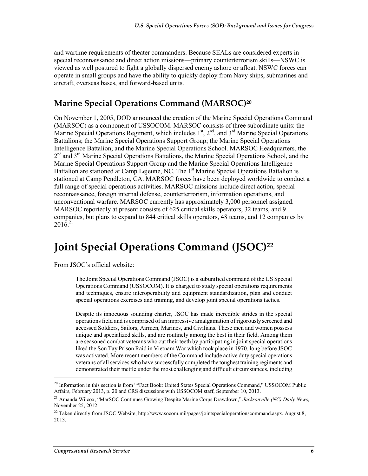and wartime requirements of theater commanders. Because SEALs are considered experts in special reconnaissance and direct action missions—primary counterterrorism skills—NSWC is viewed as well postured to fight a globally dispersed enemy ashore or afloat. NSWC forces can operate in small groups and have the ability to quickly deploy from Navy ships, submarines and aircraft, overseas bases, and forward-based units.

### **Marine Special Operations Command (MARSOC)20**

On November 1, 2005, DOD announced the creation of the Marine Special Operations Command (MARSOC) as a component of USSOCOM. MARSOC consists of three subordinate units: the Marine Special Operations Regiment, which includes  $1<sup>st</sup>$ ,  $2<sup>nd</sup>$ , and  $3<sup>rd</sup>$  Marine Special Operations Battalions; the Marine Special Operations Support Group; the Marine Special Operations Intelligence Battalion; and the Marine Special Operations School. MARSOC Headquarters, the 2<sup>nd</sup> and 3<sup>rd</sup> Marine Special Operations Battalions, the Marine Special Operations School, and the Marine Special Operations Support Group and the Marine Special Operations Intelligence Battalion are stationed at Camp Lejeune, NC. The 1<sup>st</sup> Marine Special Operations Battalion is stationed at Camp Pendleton, CA. MARSOC forces have been deployed worldwide to conduct a full range of special operations activities. MARSOC missions include direct action, special reconnaissance, foreign internal defense, counterterrorism, information operations, and unconventional warfare. MARSOC currently has approximately 3,000 personnel assigned. MARSOC reportedly at present consists of 625 critical skills operators, 32 teams, and 9 companies, but plans to expand to 844 critical skills operators, 48 teams, and 12 companies by  $2016^{21}$ 

# **Joint Special Operations Command (JSOC)22**

From JSOC's official website:

The Joint Special Operations Command (JSOC) is a subunified command of the US Special Operations Command (USSOCOM). It is charged to study special operations requirements and techniques, ensure interoperability and equipment standardization, plan and conduct special operations exercises and training, and develop joint special operations tactics.

Despite its innocuous sounding charter, JSOC has made incredible strides in the special operations field and is comprised of an impressive amalgamation of rigorously screened and accessed Soldiers, Sailors, Airmen, Marines, and Civilians. These men and women possess unique and specialized skills, and are routinely among the best in their field. Among them are seasoned combat veterans who cut their teeth by participating in joint special operations liked the Son Tay Prison Raid in Vietnam War which took place in 1970, long before JSOC was activated. More recent members of the Command include active duty special operations veterans of all services who have successfully completed the toughest training regiments and demonstrated their mettle under the most challenging and difficult circumstances, including

<sup>&</sup>lt;sup>20</sup> Information in this section is from ""Fact Book: United States Special Operations Command," USSOCOM Public Affairs, February 2013, p. 20 and CRS discussions with USSOCOM staff, September 10, 2013.

<sup>21</sup> Amanda Wilcox, "MarSOC Continues Growing Despite Marine Corps Drawdown," *Jacksonville (NC) Daily News,*  November 25, 2012.

<sup>&</sup>lt;sup>22</sup> Taken directly from JSOC Website, http://www.socom.mil/pages/jointspecialoperationscommand.aspx, August 8, 2013.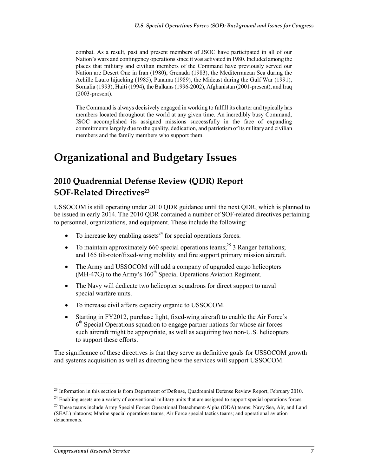combat. As a result, past and present members of JSOC have participated in all of our Nation's wars and contingency operations since it was activated in 1980. Included among the places that military and civilian members of the Command have previously served our Nation are Desert One in Iran (1980), Grenada (1983), the Mediterranean Sea during the Achille Lauro hijacking (1985), Panama (1989), the Mideast during the Gulf War (1991), Somalia (1993), Haiti (1994), the Balkans (1996-2002), Afghanistan (2001-present), and Iraq (2003-present).

The Command is always decisively engaged in working to fulfill its charter and typically has members located throughout the world at any given time. An incredibly busy Command, JSOC accomplished its assigned missions successfully in the face of expanding commitments largely due to the quality, dedication, and patriotism of its military and civilian members and the family members who support them.

# **Organizational and Budgetary Issues**

## **2010 Quadrennial Defense Review (QDR) Report SOF-Related Directives**<sup>23</sup>

USSOCOM is still operating under 2010 QDR guidance until the next QDR, which is planned to be issued in early 2014. The 2010 QDR contained a number of SOF-related directives pertaining to personnel, organizations, and equipment. These include the following:

- To increase key enabling assets<sup>24</sup> for special operations forces.
- To maintain approximately 660 special operations teams;<sup>25</sup> 3 Ranger battalions; and 165 tilt-rotor/fixed-wing mobility and fire support primary mission aircraft.
- The Army and USSOCOM will add a company of upgraded cargo helicopters  $(MH-47G)$  to the Army's  $160<sup>th</sup>$  Special Operations Aviation Regiment.
- The Navy will dedicate two helicopter squadrons for direct support to naval special warfare units.
- To increase civil affairs capacity organic to USSOCOM.
- Starting in FY2012, purchase light, fixed-wing aircraft to enable the Air Force's  $6<sup>th</sup>$  Special Operations squadron to engage partner nations for whose air forces such aircraft might be appropriate, as well as acquiring two non-U.S. helicopters to support these efforts.

The significance of these directives is that they serve as definitive goals for USSOCOM growth and systems acquisition as well as directing how the services will support USSOCOM.

 $^{23}$  Information in this section is from Department of Defense, Quadrennial Defense Review Report, February 2010.

<sup>&</sup>lt;sup>24</sup> Enabling assets are a variety of conventional military units that are assigned to support special operations forces.

<sup>&</sup>lt;sup>25</sup> These teams include Army Special Forces Operational Detachment-Alpha (ODA) teams; Navy Sea, Air, and Land (SEAL) platoons; Marine special operations teams, Air Force special tactics teams; and operational aviation detachments.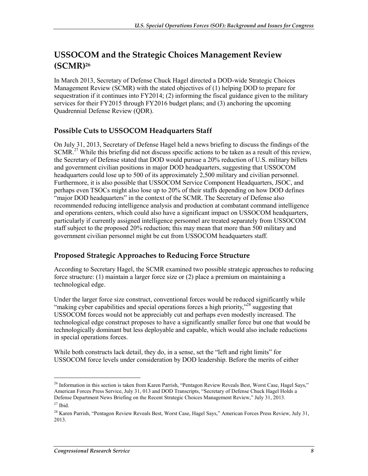## **USSOCOM and the Strategic Choices Management Review (SCMR)26**

In March 2013, Secretary of Defense Chuck Hagel directed a DOD-wide Strategic Choices Management Review (SCMR) with the stated objectives of (1) helping DOD to prepare for sequestration if it continues into FY2014; (2) informing the fiscal guidance given to the military services for their FY2015 through FY2016 budget plans; and (3) anchoring the upcoming Quadrennial Defense Review (QDR).

### **Possible Cuts to USSOCOM Headquarters Staff**

On July 31, 2013, Secretary of Defense Hagel held a news briefing to discuss the findings of the SCMR.<sup>27</sup> While this briefing did not discuss specific actions to be taken as a result of this review, the Secretary of Defense stated that DOD would pursue a 20% reduction of U.S. military billets and government civilian positions in major DOD headquarters, suggesting that USSOCOM headquarters could lose up to 500 of its approximately 2,500 military and civilian personnel. Furthermore, it is also possible that USSOCOM Service Component Headquarters, JSOC, and perhaps even TSOCs might also lose up to 20% of their staffs depending on how DOD defines "major DOD headquarters" in the context of the SCMR. The Secretary of Defense also recommended reducing intelligence analysis and production at combatant command intelligence and operations centers, which could also have a significant impact on USSOCOM headquarters, particularly if currently assigned intelligence personnel are treated separately from USSOCOM staff subject to the proposed 20% reduction; this may mean that more than 500 military and government civilian personnel might be cut from USSOCOM headquarters staff.

### **Proposed Strategic Approaches to Reducing Force Structure**

According to Secretary Hagel, the SCMR examined two possible strategic approaches to reducing force structure: (1) maintain a larger force size or (2) place a premium on maintaining a technological edge.

Under the larger force size construct, conventional forces would be reduced significantly while "making cyber capabilities and special operations forces a high priority,"<sup>28</sup> suggesting that USSOCOM forces would not be appreciably cut and perhaps even modestly increased. The technological edge construct proposes to have a significantly smaller force but one that would be technologically dominant but less deployable and capable, which would also include reductions in special operations forces.

While both constructs lack detail, they do, in a sense, set the "left and right limits" for USSOCOM force levels under consideration by DOD leadership. Before the merits of either

<sup>&</sup>lt;sup>26</sup> Information in this section is taken from Karen Parrish, "Pentagon Review Reveals Best, Worst Case, Hagel Says," American Forces Press Service, July 31, 013 and DOD Transcripts, "Secretary of Defense Chuck Hagel Holds a Defense Department News Briefing on the Recent Strategic Choices Management Review," July 31, 2013.

<sup>27</sup> Ibid.

<sup>&</sup>lt;sup>28</sup> Karen Parrish, "Pentagon Review Reveals Best, Worst Case, Hagel Says," American Forces Press Review, July 31, 2013.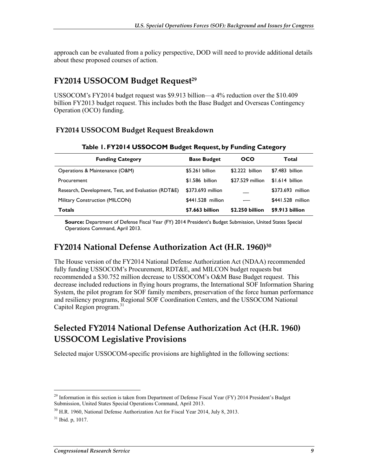approach can be evaluated from a policy perspective, DOD will need to provide additional details about these proposed courses of action.

### **FY2014 USSOCOM Budget Request<sup>29</sup>**

USSOCOM's FY2014 budget request was \$9.913 billion—a 4% reduction over the \$10.409 billion FY2013 budget request. This includes both the Base Budget and Overseas Contingency Operation (OCO) funding.

### **FY2014 USSOCOM Budget Request Breakdown**

| <b>Funding Category</b>                             | <b>Base Budget</b> | oco              | Total             |
|-----------------------------------------------------|--------------------|------------------|-------------------|
| Operations & Maintenance (O&M)                      | $$5.261$ billion   | \$2.222 billion  | \$7.483 billion   |
| Procurement                                         | $$1.586$ billion   | \$27.529 million | $$1.614$ billion  |
| Research, Development, Test, and Evaluation (RDT&E) | \$373.693 million  |                  | \$373.693 million |
| Military Construction (MILCON)                      | \$441.528 million  |                  | \$441.528 million |
| <b>Totals</b>                                       | \$7.663 billion    | \$2.250 billion  | \$9.913 billion   |

#### **Table 1. FY2014 USSOCOM Budget Request, by Funding Category**

**Source:** Department of Defense Fiscal Year (FY) 2014 President's Budget Submission, United States Special Operations Command, April 2013.

### **FY2014 National Defense Authorization Act (H.R. 1960)30**

The House version of the FY2014 National Defense Authorization Act (NDAA) recommended fully funding USSOCOM's Procurement, RDT&E, and MILCON budget requests but recommended a \$30.752 million decrease to USSOCOM's O&M Base Budget request. This decrease included reductions in flying hours programs, the International SOF Information Sharing System, the pilot program for SOF family members, preservation of the force human performance and resiliency programs, Regional SOF Coordination Centers, and the USSOCOM National Capitol Region program.<sup>31</sup>

### **Selected FY2014 National Defense Authorization Act (H.R. 1960) USSOCOM Legislative Provisions**

Selected major USSOCOM-specific provisions are highlighted in the following sections:

<sup>&</sup>lt;sup>29</sup> Information in this section is taken from Department of Defense Fiscal Year (FY) 2014 President's Budget Submission, United States Special Operations Command, April 2013.

 $30$  H.R. 1960, National Defense Authorization Act for Fiscal Year 2014, July 8, 2013.

 $31$  Ibid. p. 1017.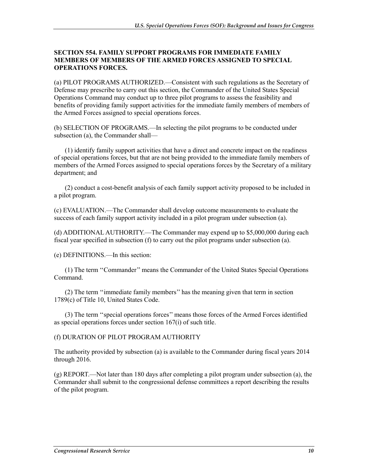#### **SECTION 554. FAMILY SUPPORT PROGRAMS FOR IMMEDIATE FAMILY MEMBERS OF MEMBERS OF THE ARMED FORCES ASSIGNED TO SPECIAL OPERATIONS FORCES.**

(a) PILOT PROGRAMS AUTHORIZED.—Consistent with such regulations as the Secretary of Defense may prescribe to carry out this section, the Commander of the United States Special Operations Command may conduct up to three pilot programs to assess the feasibility and benefits of providing family support activities for the immediate family members of members of the Armed Forces assigned to special operations forces.

(b) SELECTION OF PROGRAMS.—In selecting the pilot programs to be conducted under subsection (a), the Commander shall—

(1) identify family support activities that have a direct and concrete impact on the readiness of special operations forces, but that are not being provided to the immediate family members of members of the Armed Forces assigned to special operations forces by the Secretary of a military department; and

(2) conduct a cost-benefit analysis of each family support activity proposed to be included in a pilot program.

(c) EVALUATION.—The Commander shall develop outcome measurements to evaluate the success of each family support activity included in a pilot program under subsection (a).

(d) ADDITIONAL AUTHORITY.—The Commander may expend up to \$5,000,000 during each fiscal year specified in subsection (f) to carry out the pilot programs under subsection (a).

(e) DEFINITIONS.—In this section:

(1) The term ''Commander'' means the Commander of the United States Special Operations Command.

(2) The term ''immediate family members'' has the meaning given that term in section 1789(c) of Title 10, United States Code.

(3) The term ''special operations forces'' means those forces of the Armed Forces identified as special operations forces under section 167(i) of such title.

(f) DURATION OF PILOT PROGRAM AUTHORITY

The authority provided by subsection (a) is available to the Commander during fiscal years 2014 through 2016.

(g) REPORT.—Not later than 180 days after completing a pilot program under subsection (a), the Commander shall submit to the congressional defense committees a report describing the results of the pilot program.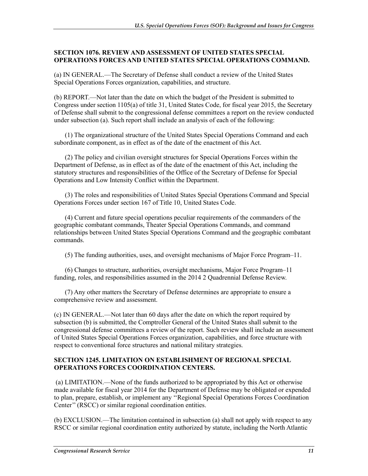#### **SECTION 1076. REVIEW AND ASSESSMENT OF UNITED STATES SPECIAL OPERATIONS FORCES AND UNITED STATES SPECIAL OPERATIONS COMMAND.**

(a) IN GENERAL.—The Secretary of Defense shall conduct a review of the United States Special Operations Forces organization, capabilities, and structure.

(b) REPORT.—Not later than the date on which the budget of the President is submitted to Congress under section 1105(a) of title 31, United States Code, for fiscal year 2015, the Secretary of Defense shall submit to the congressional defense committees a report on the review conducted under subsection (a). Such report shall include an analysis of each of the following:

(1) The organizational structure of the United States Special Operations Command and each subordinate component, as in effect as of the date of the enactment of this Act.

(2) The policy and civilian oversight structures for Special Operations Forces within the Department of Defense, as in effect as of the date of the enactment of this Act, including the statutory structures and responsibilities of the Office of the Secretary of Defense for Special Operations and Low Intensity Conflict within the Department.

(3) The roles and responsibilities of United States Special Operations Command and Special Operations Forces under section 167 of Title 10, United States Code.

(4) Current and future special operations peculiar requirements of the commanders of the geographic combatant commands, Theater Special Operations Commands, and command relationships between United States Special Operations Command and the geographic combatant commands.

(5) The funding authorities, uses, and oversight mechanisms of Major Force Program–11.

(6) Changes to structure, authorities, oversight mechanisms, Major Force Program–11 funding, roles, and responsibilities assumed in the 2014 2 Quadrennial Defense Review.

(7) Any other matters the Secretary of Defense determines are appropriate to ensure a comprehensive review and assessment.

(c) IN GENERAL.—Not later than 60 days after the date on which the report required by subsection (b) is submitted, the Comptroller General of the United States shall submit to the congressional defense committees a review of the report. Such review shall include an assessment of United States Special Operations Forces organization, capabilities, and force structure with respect to conventional force structures and national military strategies.

#### **SECTION 1245. LIMITATION ON ESTABLISHMENT OF REGIONAL SPECIAL OPERATIONS FORCES COORDINATION CENTERS.**

 (a) LIMITATION.—None of the funds authorized to be appropriated by this Act or otherwise made available for fiscal year 2014 for the Department of Defense may be obligated or expended to plan, prepare, establish, or implement any ''Regional Special Operations Forces Coordination Center'' (RSCC) or similar regional coordination entities.

(b) EXCLUSION.—The limitation contained in subsection (a) shall not apply with respect to any RSCC or similar regional coordination entity authorized by statute, including the North Atlantic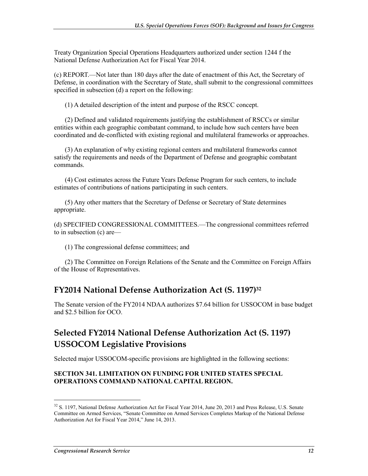Treaty Organization Special Operations Headquarters authorized under section 1244 f the National Defense Authorization Act for Fiscal Year 2014.

(c) REPORT.—Not later than 180 days after the date of enactment of this Act, the Secretary of Defense, in coordination with the Secretary of State, shall submit to the congressional committees specified in subsection (d) a report on the following:

(1) A detailed description of the intent and purpose of the RSCC concept.

(2) Defined and validated requirements justifying the establishment of RSCCs or similar entities within each geographic combatant command, to include how such centers have been coordinated and de-conflicted with existing regional and multilateral frameworks or approaches.

(3) An explanation of why existing regional centers and multilateral frameworks cannot satisfy the requirements and needs of the Department of Defense and geographic combatant commands.

(4) Cost estimates across the Future Years Defense Program for such centers, to include estimates of contributions of nations participating in such centers.

(5) Any other matters that the Secretary of Defense or Secretary of State determines appropriate.

(d) SPECIFIED CONGRESSIONAL COMMITTEES.—The congressional committees referred to in subsection (c) are—

(1) The congressional defense committees; and

(2) The Committee on Foreign Relations of the Senate and the Committee on Foreign Affairs of the House of Representatives.

### **FY2014 National Defense Authorization Act (S. 1197)32**

The Senate version of the FY2014 NDAA authorizes \$7.64 billion for USSOCOM in base budget and \$2.5 billion for OCO.

### **Selected FY2014 National Defense Authorization Act (S. 1197) USSOCOM Legislative Provisions**

Selected major USSOCOM-specific provisions are highlighted in the following sections:

#### **SECTION 341. LIMITATION ON FUNDING FOR UNITED STATES SPECIAL OPERATIONS COMMAND NATIONAL CAPITAL REGION.**

<sup>&</sup>lt;sup>32</sup> S. 1197, National Defense Authorization Act for Fiscal Year 2014, June 20, 2013 and Press Release, U.S. Senate Committee on Armed Services, "Senate Committee on Armed Services Completes Markup of the National Defense Authorization Act for Fiscal Year 2014," June 14, 2013.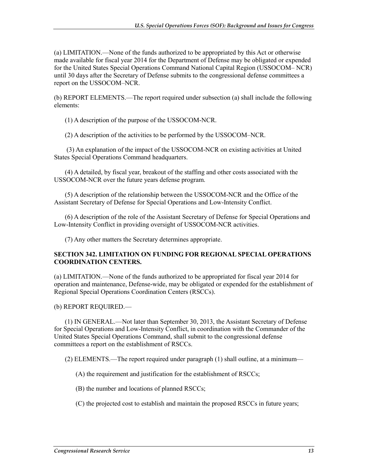(a) LIMITATION.—None of the funds authorized to be appropriated by this Act or otherwise made available for fiscal year 2014 for the Department of Defense may be obligated or expended for the United States Special Operations Command National Capital Region (USSOCOM– NCR) until 30 days after the Secretary of Defense submits to the congressional defense committees a report on the USSOCOM–NCR.

(b) REPORT ELEMENTS.—The report required under subsection (a) shall include the following elements:

(1) A description of the purpose of the USSOCOM-NCR.

(2) A description of the activities to be performed by the USSOCOM–NCR.

 (3) An explanation of the impact of the USSOCOM-NCR on existing activities at United States Special Operations Command headquarters.

(4) A detailed, by fiscal year, breakout of the staffing and other costs associated with the USSOCOM-NCR over the future years defense program.

(5) A description of the relationship between the USSOCOM-NCR and the Office of the Assistant Secretary of Defense for Special Operations and Low-Intensity Conflict.

(6) A description of the role of the Assistant Secretary of Defense for Special Operations and Low-Intensity Conflict in providing oversight of USSOCOM-NCR activities.

(7) Any other matters the Secretary determines appropriate.

#### **SECTION 342. LIMITATION ON FUNDING FOR REGIONAL SPECIAL OPERATIONS COORDINATION CENTERS.**

(a) LIMITATION.—None of the funds authorized to be appropriated for fiscal year 2014 for operation and maintenance, Defense-wide, may be obligated or expended for the establishment of Regional Special Operations Coordination Centers (RSCCs).

#### (b) REPORT REQUIRED.—

(1) IN GENERAL.—Not later than September 30, 2013, the Assistant Secretary of Defense for Special Operations and Low-Intensity Conflict, in coordination with the Commander of the United States Special Operations Command, shall submit to the congressional defense committees a report on the establishment of RSCCs.

(2) ELEMENTS.—The report required under paragraph (1) shall outline, at a minimum—

(A) the requirement and justification for the establishment of RSCCs;

(B) the number and locations of planned RSCCs;

(C) the projected cost to establish and maintain the proposed RSCCs in future years;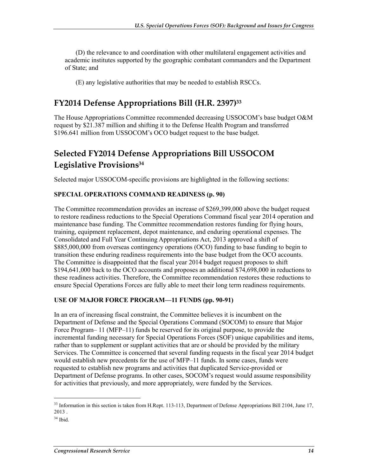(D) the relevance to and coordination with other multilateral engagement activities and academic institutes supported by the geographic combatant commanders and the Department of State; and

(E) any legislative authorities that may be needed to establish RSCCs.

### **FY2014 Defense Appropriations Bill (H.R. 2397)33**

The House Appropriations Committee recommended decreasing USSOCOM's base budget O&M request by \$21.387 million and shifting it to the Defense Health Program and transferred \$196.641 million from USSOCOM's OCO budget request to the base budget.

## **Selected FY2014 Defense Appropriations Bill USSOCOM Legislative Provisions34**

Selected major USSOCOM-specific provisions are highlighted in the following sections:

#### **SPECIAL OPERATIONS COMMAND READINESS (p. 90)**

The Committee recommendation provides an increase of \$269,399,000 above the budget request to restore readiness reductions to the Special Operations Command fiscal year 2014 operation and maintenance base funding. The Committee recommendation restores funding for flying hours, training, equipment replacement, depot maintenance, and enduring operational expenses. The Consolidated and Full Year Continuing Appropriations Act, 2013 approved a shift of \$885,000,000 from overseas contingency operations (OCO) funding to base funding to begin to transition these enduring readiness requirements into the base budget from the OCO accounts. The Committee is disappointed that the fiscal year 2014 budget request proposes to shift \$194,641,000 back to the OCO accounts and proposes an additional \$74,698,000 in reductions to these readiness activities. Therefore, the Committee recommendation restores these reductions to ensure Special Operations Forces are fully able to meet their long term readiness requirements.

#### **USE OF MAJOR FORCE PROGRAM—11 FUNDS (pp. 90-91)**

In an era of increasing fiscal constraint, the Committee believes it is incumbent on the Department of Defense and the Special Operations Command (SOCOM) to ensure that Major Force Program– 11 (MFP–11) funds be reserved for its original purpose, to provide the incremental funding necessary for Special Operations Forces (SOF) unique capabilities and items, rather than to supplement or supplant activities that are or should be provided by the military Services. The Committee is concerned that several funding requests in the fiscal year 2014 budget would establish new precedents for the use of MFP–11 funds. In some cases, funds were requested to establish new programs and activities that duplicated Service-provided or Department of Defense programs. In other cases, SOCOM's request would assume responsibility for activities that previously, and more appropriately, were funded by the Services.

<sup>&</sup>lt;sup>33</sup> Information in this section is taken from H.Rept. 113-113, Department of Defense Appropriations Bill 2104, June 17, 2013 .

 $34$  Ibid.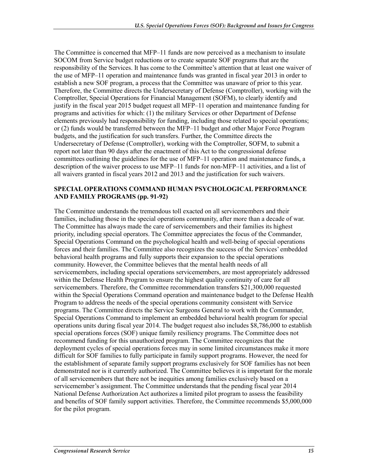The Committee is concerned that MFP–11 funds are now perceived as a mechanism to insulate SOCOM from Service budget reductions or to create separate SOF programs that are the responsibility of the Services. It has come to the Committee's attention that at least one waiver of the use of MFP–11 operation and maintenance funds was granted in fiscal year 2013 in order to establish a new SOF program, a process that the Committee was unaware of prior to this year. Therefore, the Committee directs the Undersecretary of Defense (Comptroller), working with the Comptroller, Special Operations for Financial Management (SOFM), to clearly identify and justify in the fiscal year 2015 budget request all MFP–11 operation and maintenance funding for programs and activities for which: (1) the military Services or other Department of Defense elements previously had responsibility for funding, including those related to special operations; or (2) funds would be transferred between the MFP–11 budget and other Major Force Program budgets, and the justification for such transfers. Further, the Committee directs the Undersecretary of Defense (Comptroller), working with the Comptroller, SOFM, to submit a report not later than 90 days after the enactment of this Act to the congressional defense committees outlining the guidelines for the use of MFP–11 operation and maintenance funds, a description of the waiver process to use MFP–11 funds for non-MFP–11 activities, and a list of all waivers granted in fiscal years 2012 and 2013 and the justification for such waivers.

#### **SPECIAL OPERATIONS COMMAND HUMAN PSYCHOLOGICAL PERFORMANCE AND FAMILY PROGRAMS (pp. 91-92)**

The Committee understands the tremendous toll exacted on all servicemembers and their families, including those in the special operations community, after more than a decade of war. The Committee has always made the care of servicemembers and their families its highest priority, including special operators. The Committee appreciates the focus of the Commander, Special Operations Command on the psychological health and well-being of special operations forces and their families. The Committee also recognizes the success of the Services' embedded behavioral health programs and fully supports their expansion to the special operations community. However, the Committee believes that the mental health needs of all servicemembers, including special operations servicemembers, are most appropriately addressed within the Defense Health Program to ensure the highest quality continuity of care for all servicemembers. Therefore, the Committee recommendation transfers \$21,300,000 requested within the Special Operations Command operation and maintenance budget to the Defense Health Program to address the needs of the special operations community consistent with Service programs. The Committee directs the Service Surgeons General to work with the Commander, Special Operations Command to implement an embedded behavioral health program for special operations units during fiscal year 2014. The budget request also includes \$8,786,000 to establish special operations forces (SOF) unique family resiliency programs. The Committee does not recommend funding for this unauthorized program. The Committee recognizes that the deployment cycles of special operations forces may in some limited circumstances make it more difficult for SOF families to fully participate in family support programs. However, the need for the establishment of separate family support programs exclusively for SOF families has not been demonstrated nor is it currently authorized. The Committee believes it is important for the morale of all servicemembers that there not be inequities among families exclusively based on a servicemember's assignment. The Committee understands that the pending fiscal year 2014 National Defense Authorization Act authorizes a limited pilot program to assess the feasibility and benefits of SOF family support activities. Therefore, the Committee recommends \$5,000,000 for the pilot program.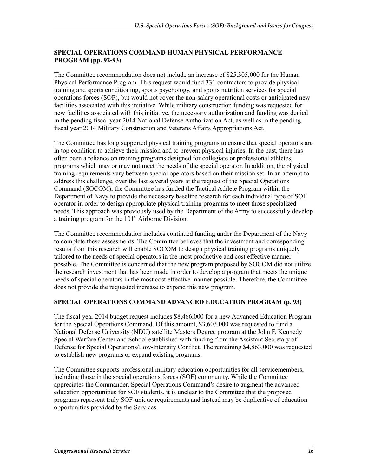#### **SPECIAL OPERATIONS COMMAND HUMAN PHYSICAL PERFORMANCE PROGRAM (pp. 92-93)**

The Committee recommendation does not include an increase of \$25,305,000 for the Human Physical Performance Program. This request would fund 331 contractors to provide physical training and sports conditioning, sports psychology, and sports nutrition services for special operations forces (SOF), but would not cover the non-salary operational costs or anticipated new facilities associated with this initiative. While military construction funding was requested for new facilities associated with this initiative, the necessary authorization and funding was denied in the pending fiscal year 2014 National Defense Authorization Act, as well as in the pending fiscal year 2014 Military Construction and Veterans Affairs Appropriations Act.

The Committee has long supported physical training programs to ensure that special operators are in top condition to achieve their mission and to prevent physical injuries. In the past, there has often been a reliance on training programs designed for collegiate or professional athletes, programs which may or may not meet the needs of the special operator. In addition, the physical training requirements vary between special operators based on their mission set. In an attempt to address this challenge, over the last several years at the request of the Special Operations Command (SOCOM), the Committee has funded the Tactical Athlete Program within the Department of Navy to provide the necessary baseline research for each individual type of SOF operator in order to design appropriate physical training programs to meet those specialized needs. This approach was previously used by the Department of the Army to successfully develop a training program for the  $101<sup>st</sup>$  Airborne Division.

The Committee recommendation includes continued funding under the Department of the Navy to complete these assessments. The Committee believes that the investment and corresponding results from this research will enable SOCOM to design physical training programs uniquely tailored to the needs of special operators in the most productive and cost effective manner possible. The Committee is concerned that the new program proposed by SOCOM did not utilize the research investment that has been made in order to develop a program that meets the unique needs of special operators in the most cost effective manner possible. Therefore, the Committee does not provide the requested increase to expand this new program.

### **SPECIAL OPERATIONS COMMAND ADVANCED EDUCATION PROGRAM (p. 93)**

The fiscal year 2014 budget request includes \$8,466,000 for a new Advanced Education Program for the Special Operations Command. Of this amount, \$3,603,000 was requested to fund a National Defense University (NDU) satellite Masters Degree program at the John F. Kennedy Special Warfare Center and School established with funding from the Assistant Secretary of Defense for Special Operations/Low-Intensity Conflict. The remaining \$4,863,000 was requested to establish new programs or expand existing programs.

The Committee supports professional military education opportunities for all servicemembers, including those in the special operations forces (SOF) community. While the Committee appreciates the Commander, Special Operations Command's desire to augment the advanced education opportunities for SOF students, it is unclear to the Committee that the proposed programs represent truly SOF-unique requirements and instead may be duplicative of education opportunities provided by the Services.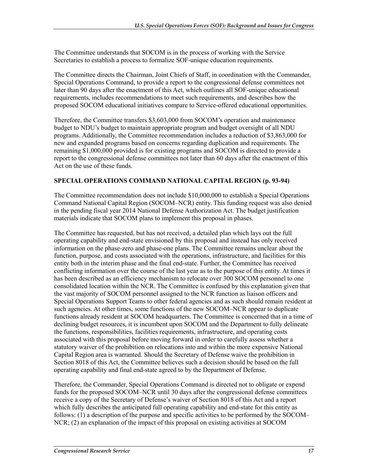The Committee understands that SOCOM is in the process of working with the Service Secretaries to establish a process to formalize SOF-unique education requirements.

The Committee directs the Chairman, Joint Chiefs of Staff, in coordination with the Commander, Special Operations Command, to provide a report to the congressional defense committees not later than 90 days after the enactment of this Act, which outlines all SOF-unique educational requirements, includes recommendations to meet such requirements, and describes how the proposed SOCOM educational initiatives compare to Service-offered educational opportunities.

Therefore, the Committee transfers \$3,603,000 from SOCOM's operation and maintenance budget to NDU's budget to maintain appropriate program and budget oversight of all NDU programs. Additionally, the Committee recommendation includes a reduction of \$3,863,000 for new and expanded programs based on concerns regarding duplication and requirements. The remaining \$1,000,000 provided is for existing programs and SOCOM is directed to provide a report to the congressional defense committees not later than 60 days after the enactment of this Act on the use of these funds.

### **SPECIAL OPERATIONS COMMAND NATIONAL CAPITAL REGION (p. 93-94)**

The Committee recommendation does not include \$10,000,000 to establish a Special Operations Command National Capital Region (SOCOM–NCR) entity. This funding request was also denied in the pending fiscal year 2014 National Defense Authorization Act. The budget justification materials indicate that SOCOM plans to implement this proposal in phases.

The Committee has requested, but has not received, a detailed plan which lays out the full operating capability and end-state envisioned by this proposal and instead has only received information on the phase-zero and phase-one plans. The Committee remains unclear about the function, purpose, and costs associated with the operations, infrastructure, and facilities for this entity both in the interim phase and the final end-state. Further, the Committee has received conflicting information over the course of the last year as to the purpose of this entity. At times it has been described as an efficiency mechanism to relocate over 300 SOCOM personnel to one consolidated location within the NCR. The Committee is confused by this explanation given that the vast majority of SOCOM personnel assigned to the NCR function as liaison officers and Special Operations Support Teams to other federal agencies and as such should remain resident at such agencies. At other times, some functions of the new SOCOM–NCR appear to duplicate functions already resident at SOCOM headquarters. The Committee is concerned that in a time of declining budget resources, it is incumbent upon SOCOM and the Department to fully delineate the functions, responsibilities, facilities requirements, infrastructure, and operating costs associated with this proposal before moving forward in order to carefully assess whether a statutory waiver of the prohibition on relocations into and within the more expensive National Capital Region area is warranted. Should the Secretary of Defense waive the prohibition in Section 8018 of this Act, the Committee believes such a decision should be based on the full operating capability and final end-state agreed to by the Department of Defense.

Therefore, the Commander, Special Operations Command is directed not to obligate or expend funds for the proposed SOCOM–NCR until 30 days after the congressional defense committees receive a copy of the Secretary of Defense's waiver of Section 8018 of this Act and a report which fully describes the anticipated full operating capability and end-state for this entity as follows: (1) a description of the purpose and specific activities to be performed by the SOCOM– NCR; (2) an explanation of the impact of this proposal on existing activities at SOCOM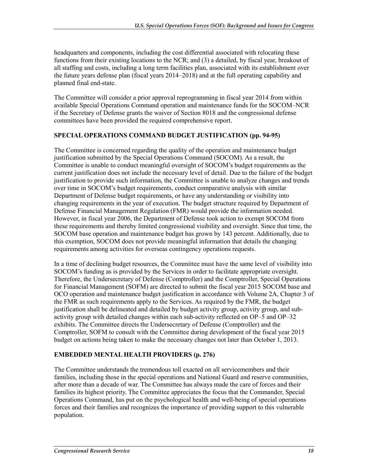headquarters and components, including the cost differential associated with relocating these functions from their existing locations to the NCR; and (3) a detailed, by fiscal year, breakout of all staffing and costs, including a long term facilities plan, associated with its establishment over the future years defense plan (fiscal years 2014–2018) and at the full operating capability and planned final end-state.

The Committee will consider a prior approval reprogramming in fiscal year 2014 from within available Special Operations Command operation and maintenance funds for the SOCOM–NCR if the Secretary of Defense grants the waiver of Section 8018 and the congressional defense committees have been provided the required comprehensive report.

### **SPECIAL OPERATIONS COMMAND BUDGET JUSTIFICATION (pp. 94-95)**

The Committee is concerned regarding the quality of the operation and maintenance budget justification submitted by the Special Operations Command (SOCOM). As a result, the Committee is unable to conduct meaningful oversight of SOCOM's budget requirements as the current justification does not include the necessary level of detail. Due to the failure of the budget justification to provide such information, the Committee is unable to analyze changes and trends over time in SOCOM's budget requirements, conduct comparative analysis with similar Department of Defense budget requirements, or have any understanding or visibility into changing requirements in the year of execution. The budget structure required by Department of Defense Financial Management Regulation (FMR) would provide the information needed. However, in fiscal year 2006, the Department of Defense took action to exempt SOCOM from these requirements and thereby limited congressional visibility and oversight. Since that time, the SOCOM base operation and maintenance budget has grown by 143 percent. Additionally, due to this exemption, SOCOM does not provide meaningful information that details the changing requirements among activities for overseas contingency operations requests.

In a time of declining budget resources, the Committee must have the same level of visibility into SOCOM's funding as is provided by the Services in order to facilitate appropriate oversight. Therefore, the Undersecretary of Defense (Comptroller) and the Comptroller, Special Operations for Financial Management (SOFM) are directed to submit the fiscal year 2015 SOCOM base and OCO operation and maintenance budget justification in accordance with Volume 2A, Chapter 3 of the FMR as such requirements apply to the Services. As required by the FMR, the budget justification shall be delineated and detailed by budget activity group, activity group, and subactivity group with detailed changes within each sub-activity reflected on OP–5 and OP–32 exhibits. The Committee directs the Undersecretary of Defense (Comptroller) and the Comptroller, SOFM to consult with the Committee during development of the fiscal year 2015 budget on actions being taken to make the necessary changes not later than October 1, 2013.

### **EMBEDDED MENTAL HEALTH PROVIDERS (p. 276)**

The Committee understands the tremendous toll exacted on all servicemembers and their families, including those in the special operations and National Guard and reserve communities, after more than a decade of war. The Committee has always made the care of forces and their families its highest priority. The Committee appreciates the focus that the Commander, Special Operations Command, has put on the psychological health and well-being of special operations forces and their families and recognizes the importance of providing support to this vulnerable population.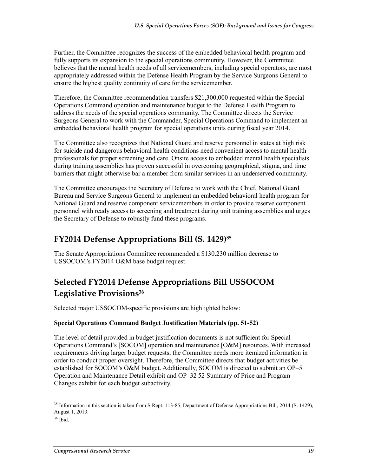Further, the Committee recognizes the success of the embedded behavioral health program and fully supports its expansion to the special operations community. However, the Committee believes that the mental health needs of all servicemembers, including special operators, are most appropriately addressed within the Defense Health Program by the Service Surgeons General to ensure the highest quality continuity of care for the servicemember.

Therefore, the Committee recommendation transfers \$21,300,000 requested within the Special Operations Command operation and maintenance budget to the Defense Health Program to address the needs of the special operations community. The Committee directs the Service Surgeons General to work with the Commander, Special Operations Command to implement an embedded behavioral health program for special operations units during fiscal year 2014.

The Committee also recognizes that National Guard and reserve personnel in states at high risk for suicide and dangerous behavioral health conditions need convenient access to mental health professionals for proper screening and care. Onsite access to embedded mental health specialists during training assemblies has proven successful in overcoming geographical, stigma, and time barriers that might otherwise bar a member from similar services in an underserved community.

The Committee encourages the Secretary of Defense to work with the Chief, National Guard Bureau and Service Surgeons General to implement an embedded behavioral health program for National Guard and reserve component servicemembers in order to provide reserve component personnel with ready access to screening and treatment during unit training assemblies and urges the Secretary of Defense to robustly fund these programs.

## **FY2014 Defense Appropriations Bill (S. 1429)35**

The Senate Appropriations Committee recommended a \$130.230 million decrease to USSOCOM's FY2014 O&M base budget request.

## **Selected FY2014 Defense Appropriations Bill USSOCOM Legislative Provisions36**

Selected major USSOCOM-specific provisions are highlighted below:

### **Special Operations Command Budget Justification Materials (pp. 51-52)**

The level of detail provided in budget justification documents is not sufficient for Special Operations Command's [SOCOM] operation and maintenance [O&M] resources. With increased requirements driving larger budget requests, the Committee needs more itemized information in order to conduct proper oversight. Therefore, the Committee directs that budget activities be established for SOCOM's O&M budget. Additionally, SOCOM is directed to submit an OP–5 Operation and Maintenance Detail exhibit and OP–32 52 Summary of Price and Program Changes exhibit for each budget subactivity.

<sup>&</sup>lt;sup>35</sup> Information in this section is taken from S.Rept. 113-85, Department of Defense Appropriations Bill, 2014 (S. 1429), August 1, 2013.

 $36$  Ibid.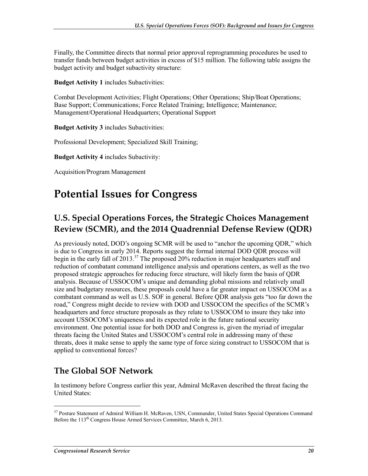Finally, the Committee directs that normal prior approval reprogramming procedures be used to transfer funds between budget activities in excess of \$15 million. The following table assigns the budget activity and budget subactivity structure:

**Budget Activity 1** includes Subactivities:

Combat Development Activities; Flight Operations; Other Operations; Ship/Boat Operations; Base Support; Communications; Force Related Training; Intelligence; Maintenance; Management/Operational Headquarters; Operational Support

**Budget Activity 3** includes Subactivities:

Professional Development; Specialized Skill Training;

**Budget Activity 4** includes Subactivity:

Acquisition/Program Management

# **Potential Issues for Congress**

## **U.S. Special Operations Forces, the Strategic Choices Management Review (SCMR), and the 2014 Quadrennial Defense Review (QDR)**

As previously noted, DOD's ongoing SCMR will be used to "anchor the upcoming QDR," which is due to Congress in early 2014. Reports suggest the formal internal DOD QDR process will begin in the early fall of  $2013$ .<sup>37</sup> The proposed 20% reduction in major headquarters staff and reduction of combatant command intelligence analysis and operations centers, as well as the two proposed strategic approaches for reducing force structure, will likely form the basis of QDR analysis. Because of USSOCOM's unique and demanding global missions and relatively small size and budgetary resources, these proposals could have a far greater impact on USSOCOM as a combatant command as well as U.S. SOF in general. Before QDR analysis gets "too far down the road," Congress might decide to review with DOD and USSOCOM the specifics of the SCMR's headquarters and force structure proposals as they relate to USSOCOM to insure they take into account USSOCOM's uniqueness and its expected role in the future national security environment. One potential issue for both DOD and Congress is, given the myriad of irregular threats facing the United States and USSOCOM's central role in addressing many of these threats, does it make sense to apply the same type of force sizing construct to USSOCOM that is applied to conventional forces?

## **The Global SOF Network**

In testimony before Congress earlier this year, Admiral McRaven described the threat facing the United States:

<sup>&</sup>lt;sup>37</sup> Posture Statement of Admiral William H. McRaven, USN, Commander, United States Special Operations Command Before the 113<sup>th</sup> Congress House Armed Services Committee, March 6, 2013.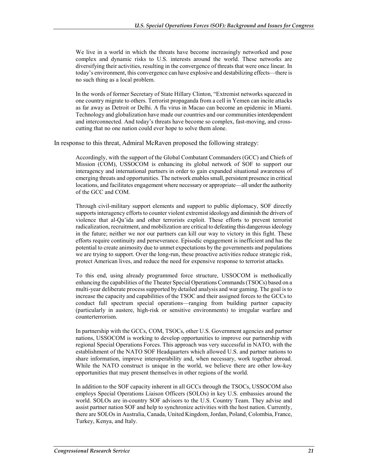We live in a world in which the threats have become increasingly networked and pose complex and dynamic risks to U.S. interests around the world. These networks are diversifying their activities, resulting in the convergence of threats that were once linear. In today's environment, this convergence can have explosive and destabilizing effects—there is no such thing as a local problem.

In the words of former Secretary of State Hillary Clinton, "Extremist networks squeezed in one country migrate to others. Terrorist propaganda from a cell in Yemen can incite attacks as far away as Detroit or Delhi. A flu virus in Macao can become an epidemic in Miami. Technology and globalization have made our countries and our communities interdependent and interconnected. And today's threats have become so complex, fast-moving, and crosscutting that no one nation could ever hope to solve them alone.

In response to this threat, Admiral McRaven proposed the following strategy:

Accordingly, with the support of the Global Combatant Commanders (GCC) and Chiefs of Mission (COM), USSOCOM is enhancing its global network of SOF to support our interagency and international partners in order to gain expanded situational awareness of emerging threats and opportunities. The network enables small, persistent presence in critical locations, and facilitates engagement where necessary or appropriate—all under the authority of the GCC and COM.

Through civil-military support elements and support to public diplomacy, SOF directly supports interagency efforts to counter violent extremist ideology and diminish the drivers of violence that al-Qa'ida and other terrorists exploit. These efforts to prevent terrorist radicalization, recruitment, and mobilization are critical to defeating this dangerous ideology in the future; neither we nor our partners can kill our way to victory in this fight. These efforts require continuity and perseverance. Episodic engagement is inefficient and has the potential to create animosity due to unmet expectations by the governments and populations we are trying to support. Over the long-run, these proactive activities reduce strategic risk, protect American lives, and reduce the need for expensive response to terrorist attacks.

To this end, using already programmed force structure, USSOCOM is methodically enhancing the capabilities of the Theater Special Operations Commands (TSOCs) based on a multi-year deliberate process supported by detailed analysis and war gaming. The goal is to increase the capacity and capabilities of the TSOC and their assigned forces to the GCCs to conduct full spectrum special operations—ranging from building partner capacity (particularly in austere, high-risk or sensitive environments) to irregular warfare and counterterrorism.

In partnership with the GCCs, COM, TSOCs, other U.S. Government agencies and partner nations, USSOCOM is working to develop opportunities to improve our partnership with regional Special Operations Forces. This approach was very successful in NATO, with the establishment of the NATO SOF Headquarters which allowed U.S. and partner nations to share information, improve interoperability and, when necessary, work together abroad. While the NATO construct is unique in the world, we believe there are other low-key opportunities that may present themselves in other regions of the world.

In addition to the SOF capacity inherent in all GCCs through the TSOCs, USSOCOM also employs Special Operations Liaison Officers (SOLOs) in key U.S. embassies around the world. SOLOs are in-country SOF advisors to the U.S. Country Team. They advise and assist partner nation SOF and help to synchronize activities with the host nation. Currently, there are SOLOs in Australia, Canada, United Kingdom, Jordan, Poland, Colombia, France, Turkey, Kenya, and Italy.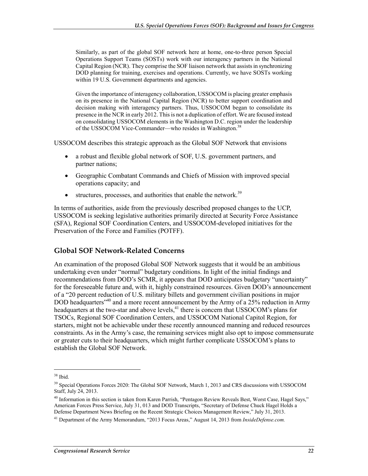Similarly, as part of the global SOF network here at home, one-to-three person Special Operations Support Teams (SOSTs) work with our interagency partners in the National Capital Region (NCR). They comprise the SOF liaison network that assists in synchronizing DOD planning for training, exercises and operations. Currently, we have SOSTs working within 19 U.S. Government departments and agencies.

Given the importance of interagency collaboration, USSOCOM is placing greater emphasis on its presence in the National Capital Region (NCR) to better support coordination and decision making with interagency partners. Thus, USSOCOM began to consolidate its presence in the NCR in early 2012. This is not a duplication of effort. We are focused instead on consolidating USSOCOM elements in the Washington D.C. region under the leadership of the USSOCOM Vice-Commander—who resides in Washington.<sup>38</sup>

USSOCOM describes this strategic approach as the Global SOF Network that envisions

- a robust and flexible global network of SOF, U.S. government partners, and partner nations;
- Geographic Combatant Commands and Chiefs of Mission with improved special operations capacity; and
- structures, processes, and authorities that enable the network.<sup>39</sup>

In terms of authorities, aside from the previously described proposed changes to the UCP, USSOCOM is seeking legislative authorities primarily directed at Security Force Assistance (SFA), Regional SOF Coordination Centers, and USSOCOM-developed initiatives for the Preservation of the Force and Families (POTFF).

### **Global SOF Network-Related Concerns**

An examination of the proposed Global SOF Network suggests that it would be an ambitious undertaking even under "normal" budgetary conditions. In light of the initial findings and recommendations from DOD's SCMR, it appears that DOD anticipates budgetary "uncertainty" for the foreseeable future and, with it, highly constrained resources. Given DOD's announcement of a "20 percent reduction of U.S. military billets and government civilian positions in major DOD headquarters<sup>-40</sup> and a more recent announcement by the Army of a 25% reduction in Army headquarters at the two-star and above levels,<sup>41</sup> there is concern that USSOCOM's plans for TSOCs, Regional SOF Coordination Centers, and USSOCOM National Capitol Region, for starters, might not be achievable under these recently announced manning and reduced resources constraints. As in the Army's case, the remaining services might also opt to impose commensurate or greater cuts to their headquarters, which might further complicate USSOCOM's plans to establish the Global SOF Network.

 $38$  Ibid.

<sup>&</sup>lt;sup>39</sup> Special Operations Forces 2020: The Global SOF Network, March 1, 2013 and CRS discussions with USSOCOM Staff, July 24, 2013.

<sup>&</sup>lt;sup>40</sup> Information in this section is taken from Karen Parrish, "Pentagon Review Reveals Best, Worst Case, Hagel Says," American Forces Press Service, July 31, 013 and DOD Transcripts, "Secretary of Defense Chuck Hagel Holds a Defense Department News Briefing on the Recent Strategic Choices Management Review," July 31, 2013.

<sup>41</sup> Department of the Army Memorandum, "2013 Focus Areas," August 14, 2013 from *InsideDefense.com.*